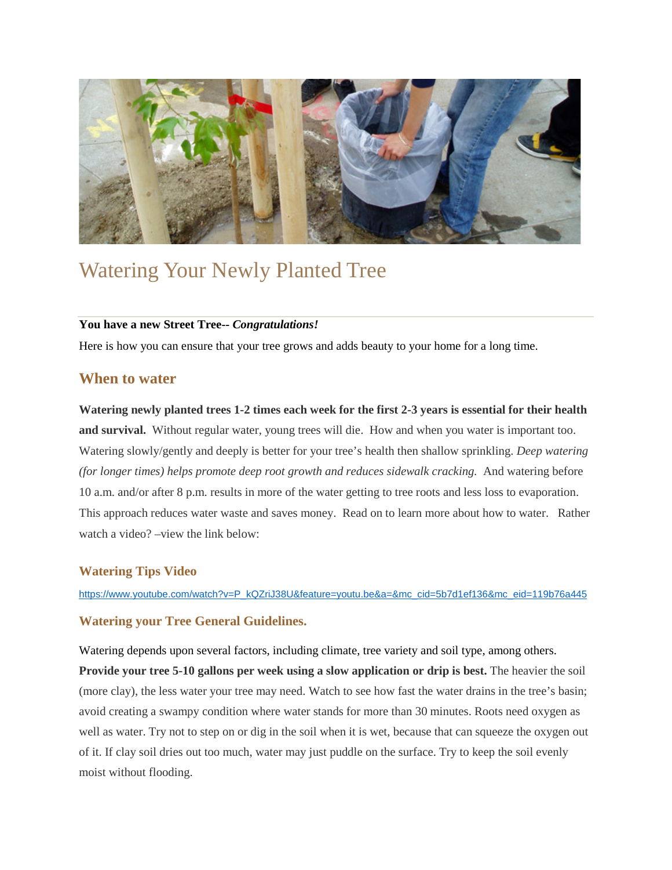

# Watering Your Newly Planted Tree

#### **You have a new Street Tree--** *Congratulations!*

Here is how you can ensure that your tree grows and adds beauty to your home for a long time.

# **When to water**

**Watering newly planted trees 1-2 times each week for the first 2-3 years is essential for their health and survival.** Without regular water, young trees will die. How and when you water is important too. Watering slowly/gently and deeply is better for your tree's health then shallow sprinkling. *Deep watering (for longer times) helps promote deep root growth and reduces sidewalk cracking.* And watering before 10 a.m. and/or after 8 p.m. results in more of the water getting to tree roots and less loss to evaporation. This approach reduces water waste and saves money. Read on to learn more about how to water. Rather watch a video? –view the link below:

### **Watering Tips Video**

[https://www.youtube.com/watch?v=P\\_kQZriJ38U&feature=youtu.be&a=&mc\\_cid=5b7d1ef136&mc\\_eid=119b76a445](https://www.youtube.com/watch?v=P_kQZriJ38U&feature=youtu.be&a=&mc_cid=5b7d1ef136&mc_eid=119b76a445)

### **Watering your Tree General Guidelines.**

Watering depends upon several factors, including climate, tree variety and soil type, among others. **Provide your tree 5-10 gallons per week using a slow application or drip is best.** The heavier the soil (more clay), the less water your tree may need. Watch to see how fast the water drains in the tree's basin; avoid creating a swampy condition where water stands for more than 30 minutes. Roots need oxygen as well as water. Try not to step on or dig in the soil when it is wet, because that can squeeze the oxygen out of it. If clay soil dries out too much, water may just puddle on the surface. Try to keep the soil evenly moist without flooding.